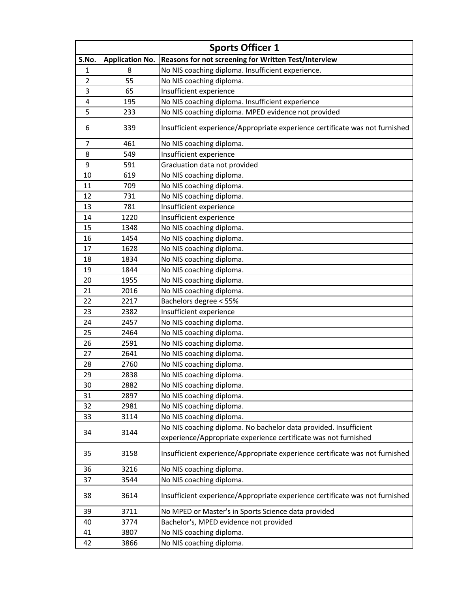|       |                        | <b>Sports Officer 1</b>                                                      |
|-------|------------------------|------------------------------------------------------------------------------|
| S.No. | <b>Application No.</b> | Reasons for not screening for Written Test/Interview                         |
| 1     | 8                      | No NIS coaching diploma. Insufficient experience.                            |
| 2     | 55                     | No NIS coaching diploma.                                                     |
| 3     | 65                     | Insufficient experience                                                      |
| 4     | 195                    | No NIS coaching diploma. Insufficient experience                             |
| 5     | 233                    | No NIS coaching diploma. MPED evidence not provided                          |
| 6     | 339                    | Insufficient experience/Appropriate experience certificate was not furnished |
| 7     | 461                    | No NIS coaching diploma.                                                     |
| 8     | 549                    | Insufficient experience                                                      |
| 9     | 591                    | Graduation data not provided                                                 |
| 10    | 619                    | No NIS coaching diploma.                                                     |
| 11    | 709                    | No NIS coaching diploma.                                                     |
| 12    | 731                    | No NIS coaching diploma.                                                     |
| 13    | 781                    | Insufficient experience                                                      |
| 14    | 1220                   | Insufficient experience                                                      |
| 15    | 1348                   | No NIS coaching diploma.                                                     |
| 16    | 1454                   | No NIS coaching diploma.                                                     |
| 17    | 1628                   | No NIS coaching diploma.                                                     |
| 18    | 1834                   | No NIS coaching diploma.                                                     |
| 19    | 1844                   | No NIS coaching diploma.                                                     |
| 20    | 1955                   | No NIS coaching diploma.                                                     |
| 21    | 2016                   | No NIS coaching diploma.                                                     |
| 22    | 2217                   | Bachelors degree < 55%                                                       |
| 23    | 2382                   | Insufficient experience                                                      |
| 24    | 2457                   | No NIS coaching diploma.                                                     |
| 25    | 2464                   | No NIS coaching diploma.                                                     |
| 26    | 2591                   | No NIS coaching diploma.                                                     |
| 27    | 2641                   | No NIS coaching diploma.                                                     |
| 28    | 2760                   | No NIS coaching diploma.                                                     |
| 29    | 2838                   | No NIS coaching diploma                                                      |
| 30    | 2882                   | No NIS coaching diploma.                                                     |
| 31    | 2897                   | No NIS coaching diploma.                                                     |
| 32    | 2981                   | No NIS coaching diploma.                                                     |
| 33    | 3114                   | No NIS coaching diploma.                                                     |
|       |                        | No NIS coaching diploma. No bachelor data provided. Insufficient             |
| 34    | 3144                   | experience/Appropriate experience certificate was not furnished              |
| 35    | 3158                   | Insufficient experience/Appropriate experience certificate was not furnished |
| 36    | 3216                   | No NIS coaching diploma.                                                     |
| 37    | 3544                   | No NIS coaching diploma.                                                     |
| 38    | 3614                   | Insufficient experience/Appropriate experience certificate was not furnished |
| 39    | 3711                   | No MPED or Master's in Sports Science data provided                          |
| 40    | 3774                   | Bachelor's, MPED evidence not provided                                       |
| 41    | 3807                   | No NIS coaching diploma.                                                     |
| 42    | 3866                   | No NIS coaching diploma.                                                     |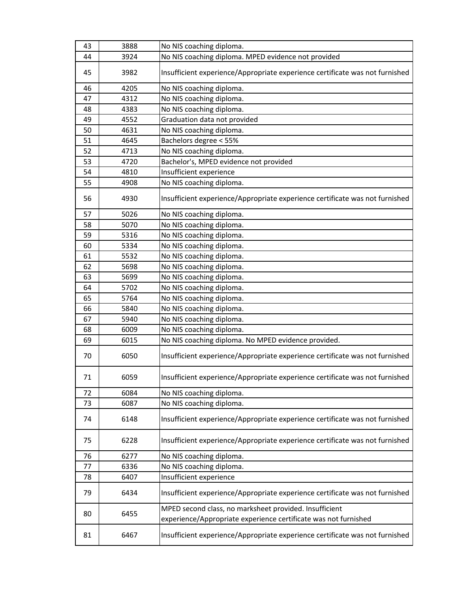| 43 | 3888 | No NIS coaching diploma.                                                     |
|----|------|------------------------------------------------------------------------------|
| 44 | 3924 | No NIS coaching diploma. MPED evidence not provided                          |
| 45 | 3982 | Insufficient experience/Appropriate experience certificate was not furnished |
| 46 | 4205 | No NIS coaching diploma.                                                     |
| 47 | 4312 | No NIS coaching diploma.                                                     |
| 48 | 4383 | No NIS coaching diploma.                                                     |
| 49 | 4552 | Graduation data not provided                                                 |
| 50 | 4631 | No NIS coaching diploma.                                                     |
| 51 | 4645 | Bachelors degree < 55%                                                       |
| 52 | 4713 | No NIS coaching diploma.                                                     |
| 53 | 4720 | Bachelor's, MPED evidence not provided                                       |
| 54 | 4810 | Insufficient experience                                                      |
| 55 | 4908 | No NIS coaching diploma.                                                     |
| 56 | 4930 | Insufficient experience/Appropriate experience certificate was not furnished |
| 57 | 5026 | No NIS coaching diploma.                                                     |
| 58 | 5070 | No NIS coaching diploma.                                                     |
| 59 | 5316 | No NIS coaching diploma.                                                     |
| 60 | 5334 | No NIS coaching diploma.                                                     |
| 61 | 5532 | No NIS coaching diploma.                                                     |
| 62 | 5698 | No NIS coaching diploma.                                                     |
| 63 | 5699 | No NIS coaching diploma.                                                     |
| 64 | 5702 | No NIS coaching diploma.                                                     |
| 65 | 5764 | No NIS coaching diploma.                                                     |
| 66 | 5840 | No NIS coaching diploma.                                                     |
| 67 | 5940 | No NIS coaching diploma.                                                     |
| 68 | 6009 | No NIS coaching diploma.                                                     |
| 69 | 6015 | No NIS coaching diploma. No MPED evidence provided.                          |
| 70 | 6050 | Insufficient experience/Appropriate experience certificate was not furnished |
| 71 | 6059 | Insufficient experience/Appropriate experience certificate was not furnished |
| 72 | 6084 | No NIS coaching diploma.                                                     |
| 73 | 6087 | No NIS coaching diploma.                                                     |
| 74 | 6148 | Insufficient experience/Appropriate experience certificate was not furnished |
| 75 | 6228 | Insufficient experience/Appropriate experience certificate was not furnished |
| 76 | 6277 | No NIS coaching diploma.                                                     |
| 77 | 6336 | No NIS coaching diploma.                                                     |
| 78 | 6407 | Insufficient experience                                                      |
| 79 | 6434 | Insufficient experience/Appropriate experience certificate was not furnished |
| 80 | 6455 | MPED second class, no marksheet provided. Insufficient                       |
|    |      | experience/Appropriate experience certificate was not furnished              |
| 81 | 6467 | Insufficient experience/Appropriate experience certificate was not furnished |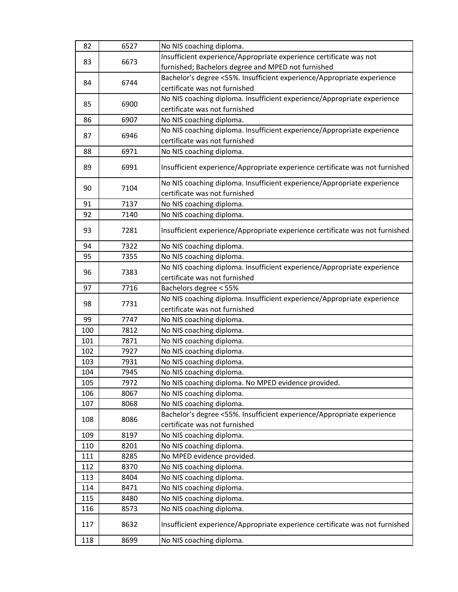| 82  | 6527 | No NIS coaching diploma.                                                     |
|-----|------|------------------------------------------------------------------------------|
| 83  | 6673 | Insufficient experience/Appropriate experience certificate was not           |
|     |      | furnished; Bachelors degree and MPED not furnished                           |
| 84  |      | Bachelor's degree <55%. Insufficient experience/Appropriate experience       |
|     | 6744 | certificate was not furnished                                                |
|     |      | No NIS coaching diploma. Insufficient experience/Appropriate experience      |
| 85  | 6900 | certificate was not furnished                                                |
| 86  | 6907 | No NIS coaching diploma.                                                     |
|     |      | No NIS coaching diploma. Insufficient experience/Appropriate experience      |
| 87  | 6946 | certificate was not furnished                                                |
| 88  | 6971 | No NIS coaching diploma.                                                     |
|     |      |                                                                              |
| 89  | 6991 | Insufficient experience/Appropriate experience certificate was not furnished |
| 90  | 7104 | No NIS coaching diploma. Insufficient experience/Appropriate experience      |
|     |      | certificate was not furnished                                                |
| 91  | 7137 | No NIS coaching diploma.                                                     |
| 92  | 7140 | No NIS coaching diploma.                                                     |
|     |      |                                                                              |
| 93  | 7281 | Insufficient experience/Appropriate experience certificate was not furnished |
| 94  | 7322 | No NIS coaching diploma.                                                     |
| 95  | 7355 | No NIS coaching diploma.                                                     |
|     |      | No NIS coaching diploma. Insufficient experience/Appropriate experience      |
| 96  | 7383 | certificate was not furnished                                                |
| 97  | 7716 | Bachelors degree < 55%                                                       |
|     |      | No NIS coaching diploma. Insufficient experience/Appropriate experience      |
| 98  | 7731 | certificate was not furnished                                                |
| 99  | 7747 | No NIS coaching diploma.                                                     |
| 100 | 7812 | No NIS coaching diploma.                                                     |
| 101 | 7871 | No NIS coaching diploma.                                                     |
| 102 | 7927 | No NIS coaching diploma.                                                     |
| 103 | 7931 | No NIS coaching diploma.                                                     |
| 104 | 7945 | No NIS coaching diploma.                                                     |
| 105 | 7972 | No NIS coaching diploma. No MPED evidence provided.                          |
| 106 | 8067 | No NIS coaching diploma.                                                     |
| 107 | 8068 | No NIS coaching diploma.                                                     |
|     |      | Bachelor's degree <55%. Insufficient experience/Appropriate experience       |
| 108 | 8086 | certificate was not furnished                                                |
| 109 | 8197 | No NIS coaching diploma.                                                     |
| 110 | 8201 | No NIS coaching diploma.                                                     |
| 111 | 8285 | No MPED evidence provided.                                                   |
| 112 | 8370 | No NIS coaching diploma.                                                     |
| 113 | 8404 | No NIS coaching diploma.                                                     |
| 114 | 8471 | No NIS coaching diploma.                                                     |
| 115 | 8480 | No NIS coaching diploma.                                                     |
| 116 | 8573 | No NIS coaching diploma.                                                     |
|     |      |                                                                              |
| 117 | 8632 | Insufficient experience/Appropriate experience certificate was not furnished |
| 118 | 8699 | No NIS coaching diploma.                                                     |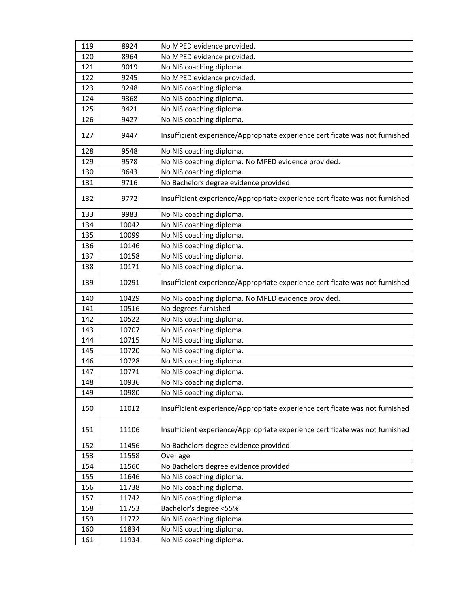| 119 | 8924  | No MPED evidence provided.                                                   |
|-----|-------|------------------------------------------------------------------------------|
| 120 | 8964  | No MPED evidence provided.                                                   |
| 121 | 9019  | No NIS coaching diploma.                                                     |
| 122 | 9245  | No MPED evidence provided.                                                   |
| 123 | 9248  | No NIS coaching diploma.                                                     |
| 124 | 9368  | No NIS coaching diploma.                                                     |
| 125 | 9421  | No NIS coaching diploma.                                                     |
| 126 | 9427  | No NIS coaching diploma.                                                     |
| 127 | 9447  | Insufficient experience/Appropriate experience certificate was not furnished |
| 128 | 9548  | No NIS coaching diploma.                                                     |
| 129 | 9578  | No NIS coaching diploma. No MPED evidence provided.                          |
| 130 | 9643  | No NIS coaching diploma.                                                     |
| 131 | 9716  | No Bachelors degree evidence provided                                        |
| 132 | 9772  | Insufficient experience/Appropriate experience certificate was not furnished |
| 133 | 9983  | No NIS coaching diploma.                                                     |
| 134 | 10042 | No NIS coaching diploma.                                                     |
| 135 | 10099 | No NIS coaching diploma.                                                     |
| 136 | 10146 | No NIS coaching diploma.                                                     |
| 137 | 10158 | No NIS coaching diploma.                                                     |
| 138 | 10171 | No NIS coaching diploma.                                                     |
| 139 | 10291 | Insufficient experience/Appropriate experience certificate was not furnished |
| 140 | 10429 | No NIS coaching diploma. No MPED evidence provided.                          |
| 141 | 10516 | No degrees furnished                                                         |
| 142 | 10522 | No NIS coaching diploma.                                                     |
| 143 | 10707 | No NIS coaching diploma.                                                     |
| 144 | 10715 | No NIS coaching diploma.                                                     |
| 145 | 10720 | No NIS coaching diploma.                                                     |
| 146 | 10728 | No NIS coaching diploma.                                                     |
| 147 | 10771 | No NIS coaching diploma.                                                     |
| 148 | 10936 | No NIS coaching diploma.                                                     |
| 149 | 10980 | No NIS coaching diploma.                                                     |
| 150 | 11012 | Insufficient experience/Appropriate experience certificate was not furnished |
| 151 | 11106 | Insufficient experience/Appropriate experience certificate was not furnished |
| 152 | 11456 | No Bachelors degree evidence provided                                        |
| 153 | 11558 | Over age                                                                     |
| 154 | 11560 | No Bachelors degree evidence provided                                        |
| 155 | 11646 | No NIS coaching diploma.                                                     |
| 156 | 11738 | No NIS coaching diploma.                                                     |
| 157 | 11742 | No NIS coaching diploma.                                                     |
| 158 | 11753 | Bachelor's degree <55%                                                       |
| 159 | 11772 | No NIS coaching diploma.                                                     |
| 160 | 11834 | No NIS coaching diploma.                                                     |
| 161 | 11934 | No NIS coaching diploma.                                                     |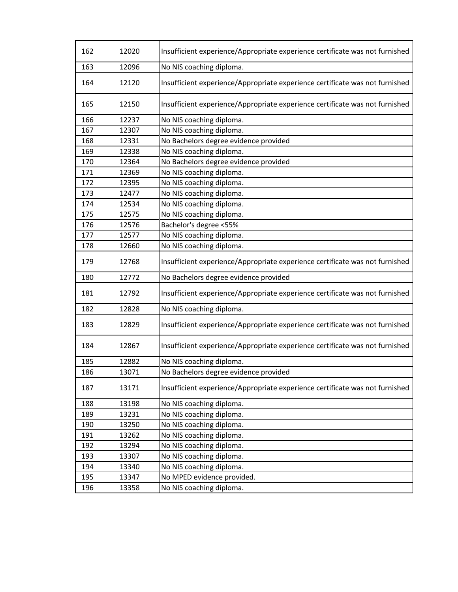| 162 | 12020 | Insufficient experience/Appropriate experience certificate was not furnished |
|-----|-------|------------------------------------------------------------------------------|
| 163 | 12096 | No NIS coaching diploma.                                                     |
| 164 | 12120 | Insufficient experience/Appropriate experience certificate was not furnished |
| 165 | 12150 | Insufficient experience/Appropriate experience certificate was not furnished |
| 166 | 12237 | No NIS coaching diploma.                                                     |
| 167 | 12307 | No NIS coaching diploma.                                                     |
| 168 | 12331 | No Bachelors degree evidence provided                                        |
| 169 | 12338 | No NIS coaching diploma.                                                     |
| 170 | 12364 | No Bachelors degree evidence provided                                        |
| 171 | 12369 | No NIS coaching diploma.                                                     |
| 172 | 12395 | No NIS coaching diploma.                                                     |
| 173 | 12477 | No NIS coaching diploma.                                                     |
| 174 | 12534 | No NIS coaching diploma.                                                     |
| 175 | 12575 | No NIS coaching diploma.                                                     |
| 176 | 12576 | Bachelor's degree <55%                                                       |
| 177 | 12577 | No NIS coaching diploma.                                                     |
| 178 | 12660 | No NIS coaching diploma.                                                     |
| 179 | 12768 | Insufficient experience/Appropriate experience certificate was not furnished |
| 180 | 12772 | No Bachelors degree evidence provided                                        |
| 181 | 12792 | Insufficient experience/Appropriate experience certificate was not furnished |
| 182 | 12828 | No NIS coaching diploma.                                                     |
| 183 | 12829 | Insufficient experience/Appropriate experience certificate was not furnished |
| 184 | 12867 | Insufficient experience/Appropriate experience certificate was not furnished |
| 185 | 12882 | No NIS coaching diploma.                                                     |
| 186 | 13071 | No Bachelors degree evidence provided                                        |
| 187 | 13171 | Insufficient experience/Appropriate experience certificate was not furnished |
| 188 | 13198 | No NIS coaching diploma.                                                     |
| 189 | 13231 | No NIS coaching diploma.                                                     |
| 190 | 13250 | No NIS coaching diploma.                                                     |
| 191 | 13262 | No NIS coaching diploma.                                                     |
| 192 | 13294 | No NIS coaching diploma.                                                     |
| 193 | 13307 | No NIS coaching diploma.                                                     |
| 194 | 13340 | No NIS coaching diploma.                                                     |
| 195 | 13347 | No MPED evidence provided.                                                   |
| 196 | 13358 | No NIS coaching diploma.                                                     |